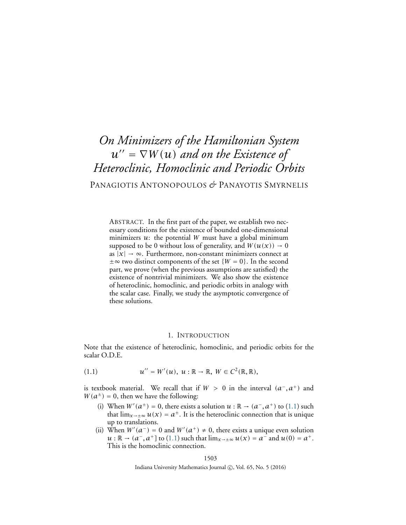# *On Minimizers of the Hamiltonian System*  $u'' = \nabla W(u)$  *and on the Existence of Heteroclinic, Homoclinic and Periodic Orbits* PANAGIOTIS ANTONOPOULOS *&* PANAYOTIS SMYRNELIS

ABSTRACT. In the first part of the paper, we establish two necessary conditions for the existence of bounded one-dimensional minimizers *u*: the potential *W* must have a global minimum supposed to be 0 without loss of generality, and  $W(u(x)) \rightarrow 0$ as  $|x| \to \infty$ . Furthermore, non-constant minimizers connect at  $\pm \infty$  two distinct components of the set  $\{W = 0\}$ . In the second part, we prove (when the previous assumptions are satisfied) the existence of nontrivial minimizers. We also show the existence of heteroclinic, homoclinic, and periodic orbits in analogy with the scalar case. Finally, we study the asymptotic convergence of these solutions.

#### <span id="page-0-0"></span>1. INTRODUCTION

<span id="page-0-1"></span>Note that the existence of heteroclinic, homoclinic, and periodic orbits for the scalar O.D.E.

$$
(1.1) \t u'' = W'(u), \ u : \mathbb{R} \to \mathbb{R}, \ W \in C^2(\mathbb{R}, \mathbb{R}),
$$

is textbook material. We recall that if  $W > 0$  in the interval  $(a^-, a^+)$  and  $W(a^{\pm}) = 0$ , then we have the following:

- (i) When  $W'(a^{\pm}) = 0$ , there exists a solution  $u : \mathbb{R} \to (a^-, a^+)$  to [\(1.1\)](#page-0-0) such that  $\lim_{x\to\pm\infty}u(x)=a^{\pm}$ . It is the heteroclinic connection that is unique up to translations.
- (ii) When  $W'(a^-) = 0$  and  $W'(a^+) \neq 0$ , there exists a unique even solution *u* : ℝ →  $(a^-, a^+]$  to  $(1.1)$  such that  $\lim_{x \to \pm \infty} u(x) = a^-$  and  $u(0) = a^+$ . This is the homoclinic connection.

Indiana University Mathematics Journal  $\circled{c}$ , Vol. 65, No. 5 (2016)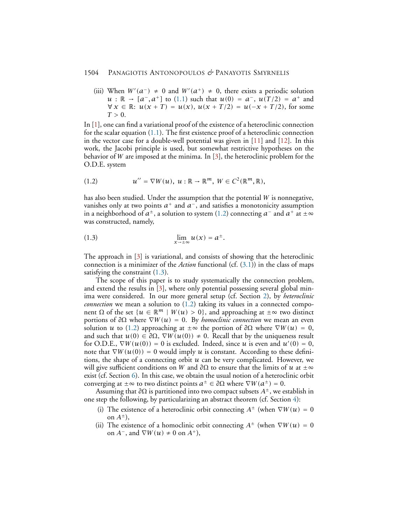(iii) When  $W'(a^-) \neq 0$  and  $W'(a^+) \neq 0$ , there exists a periodic solution *u* : ℝ →  $[a^-, a^+]$  to [\(1.1\)](#page-0-0) such that  $u(0) = a^-, u(T/2) = a^+$  and  $∀ x ∈ ℝ: u(x + T) = u(x), u(x + T/2) = u(-x + T/2)$ , for some  $T > 0$ .

In [\[1\]](#page-21-0), one can find a variational proof of the existence of a heteroclinic connection for the scalar equation [\(1.1\)](#page-0-0). The first existence proof of a heteroclinic connection in the vector case for a double-well potential was given in [\[11\]](#page-21-1) and [\[12\]](#page-21-2). In this work, the Jacobi principle is used, but somewhat restrictive hypotheses on the behavior of *W* are imposed at the minima. In [\[3\]](#page-21-3), the heteroclinic problem for the O.D.E. system

<span id="page-1-0"></span>
$$
(1.2) \t u'' = \nabla W(u), \ u : \mathbb{R} \to \mathbb{R}^m, \ W \in C^2(\mathbb{R}^m, \mathbb{R}),
$$

has also been studied. Under the assumption that the potential *W* is nonnegative, vanishes only at two points  $a^+$  and  $a^-$ , and satisfies a monotonicity assumption in a neighborhood of  $a^{\pm}$ , a solution to system [\(1.2\)](#page-1-0) connecting  $a^{-}$  and  $a^{+}$  at  $\pm \infty$ was constructed, namely,

<span id="page-1-1"></span>
$$
\lim_{x \to \pm \infty} u(x) = a^{\pm}.
$$

The approach in [\[3\]](#page-21-3) is variational, and consists of showing that the heteroclinic connection is a minimizer of the *Action* functional (cf. [\(3.1\)](#page-5-0)) in the class of maps satisfying the constraint [\(1.3\)](#page-1-1).

The scope of this paper is to study systematically the connection problem, and extend the results in [\[3\]](#page-21-3), where only potential possessing several global minima were considered. In our more general setup (cf. Section [2\)](#page-2-0), by *heteroclinic connection* we mean a solution to [\(1.2\)](#page-1-0) taking its values in a connected component  $\Omega$  of the set  $\{u \in \mathbb{R}^m \mid W(u) > 0\}$ , and approaching at  $\pm \infty$  two distinct portions of *<sup>∂</sup>*<sup>Ω</sup> where <sup>∇</sup>*W (u)* <sup>=</sup> 0. By *homoclinic connection* we mean an even solution *u* to [\(1.2\)](#page-1-0) approaching at  $\pm \infty$  the portion of  $\partial \Omega$  where  $\nabla W(u) = 0$ , and such that  $u(0) \in \partial \Omega$ ,  $\nabla W(u(0)) \neq 0$ . Recall that by the uniqueness result for O.D.E.,  $\nabla W(u(0)) = 0$  is excluded. Indeed, since *u* is even and  $u'(0) = 0$ , note that  $\nabla W(u(0)) = 0$  would imply *u* is constant. According to these definitions, the shape of a connecting orbit *u* can be very complicated. However, we will give sufficient conditions on *W* and  $\partial\Omega$  to ensure that the limits of *u* at  $\pm \infty$ exist (cf. Section [6\)](#page-18-0). In this case, we obtain the usual notion of a heteroclinic orbit converging at  $\pm \infty$  to two distinct points  $a^{\pm} \in \partial \Omega$  where  $\nabla W(a^{\pm}) = 0$ .

Assuming that *<sup>∂</sup>*<sup>Ω</sup> is partitioned into two compact subsets *<sup>A</sup>*±, we establish in one step the following, by particularizing an abstract theorem (cf. Section [4\)](#page-8-0):

- (i) The existence of a heteroclinic orbit connecting  $A^{\pm}$  (when  $\nabla W(u) = 0$ on  $A^{\pm}$ ),
- (ii) The existence of a homoclinic orbit connecting  $A^{\pm}$  (when  $\nabla W(u) = 0$ on  $A^-$ , and  $\nabla W(u) \neq 0$  on  $A^+$ ),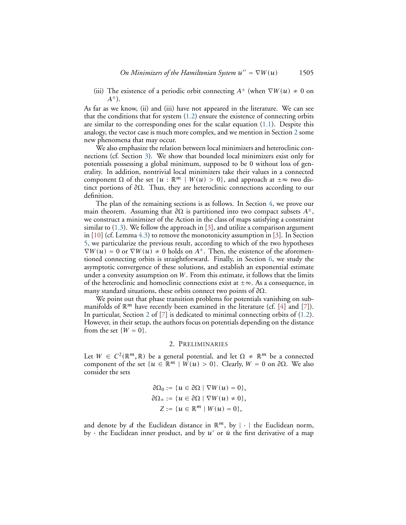(iii) The existence of a periodic orbit connecting  $A^{\pm}$  (when  $\nabla W(u) \neq 0$  on  $A^{\pm}$ ).

As far as we know, (ii) and (iii) have not appeared in the literature. We can see that the conditions that for system  $(1.2)$  ensure the existence of connecting orbits are similar to the corresponding ones for the scalar equation [\(1.1\)](#page-0-0). Despite this analogy, the vector case is much more complex, and we mention in Section [2](#page-2-0) some new phenomena that may occur.

We also emphasize the relation between local minimizers and heteroclinic connections (cf. Section [3\)](#page-5-1). We show that bounded local minimizers exist only for potentials possessing a global minimum, supposed to be 0 without loss of generality. In addition, nontrivial local minimizers take their values in a connected component  $\Omega$  of the set  $\{u : \mathbb{R}^m \mid W(u) > 0\}$ , and approach at  $\pm \infty$  two distinct portions of *<sup>∂</sup>*Ω. Thus, they are heteroclinic connections according to our definition.

The plan of the remaining sections is as follows. In Section [4,](#page-8-0) we prove our main theorem. Assuming that *<sup>∂</sup>*<sup>Ω</sup> is partitioned into two compact subsets *<sup>A</sup>*±, we construct a minimizer of the Action in the class of maps satisfying a constraint similar to  $(1.3)$ . We follow the approach in  $[3]$ , and utilize a comparison argument in  $[10]$  (cf. Lemma [4.3\)](#page-10-0) to remove the monotonicity assumption in [\[3\]](#page-21-3). In Section [5,](#page-14-0) we particularize the previous result, according to which of the two hypotheses  $\nabla W(u) = 0$  or  $\nabla W(u) \neq 0$  holds on  $A^{\pm}$ . Then, the existence of the aforementioned connecting orbits is straightforward. Finally, in Section [6,](#page-18-0) we study the asymptotic convergence of these solutions, and establish an exponential estimate under a convexity assumption on *W*. From this estimate, it follows that the limits of the heteroclinic and homoclinic connections exist at  $\pm \infty$ . As a consequence, in many standard situations, these orbits connect two points of *<sup>∂</sup>*Ω.

We point out that phase transition problems for potentials vanishing on submanifolds of  $\mathbb{R}^m$  have recently been examined in the literature (cf. [\[4\]](#page-21-5) and [\[7\]](#page-21-6)). In particular, Section [2](#page-2-0) of [\[7\]](#page-21-6) is dedicated to minimal connecting orbits of [\(1.2\)](#page-1-0). However, in their setup, the authors focus on potentials depending on the distance from the set  $\{W = 0\}$ .

#### 2. PRELIMINARIES

<span id="page-2-0"></span>Let  $W \in C^2(\mathbb{R}^m, \mathbb{R})$  be a general potential, and let  $\Omega \neq \mathbb{R}^m$  be a connected component of the set  $\{u \in \mathbb{R}^m \mid W(u) > 0\}$ . Clearly,  $W = 0$  on  $\partial\Omega$ . We also consider the sets

$$
\partial \Omega_0 := \{ u \in \partial \Omega \mid \nabla W(u) = 0 \},
$$
  

$$
\partial \Omega_{\pm} := \{ u \in \partial \Omega \mid \nabla W(u) \neq 0 \},
$$
  

$$
Z := \{ u \in \mathbb{R}^m \mid W(u) = 0 \},
$$

and denote by *d* the Euclidean distance in  $\mathbb{R}^m$ , by  $|\cdot|$  the Euclidean norm, by  $\cdot$  the Euclidean inner product, and by  $u'$  or  $\dot{u}$  the first derivative of a map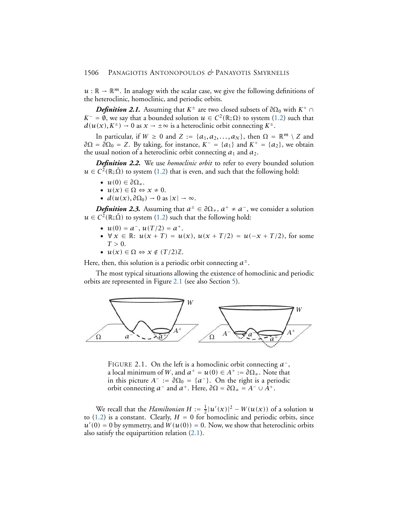$u : \mathbb{R} \to \mathbb{R}^m$ . In analogy with the scalar case, we give the following definitions of the heteroclinic, homoclinic, and periodic orbits.

<span id="page-3-1"></span>*Definition 2.1.* Assuming that  $K^{\pm}$  are two closed subsets of  $\partial \Omega_0$  with  $K^{\pm}$  ∩  $K^- = \emptyset$ , we say that a bounded solution  $u \in C^2(\mathbb{R}; \Omega)$  to system [\(1.2\)](#page-1-0) such that  $d(u(x), K^{\pm}) \rightarrow 0$  as  $x \rightarrow \pm \infty$  is a heteroclinic orbit connecting  $K^{\pm}$ .

In particular, if  $W \ge 0$  and  $Z := \{a_1, a_2, \ldots, a_N\}$ , then  $\Omega = \mathbb{R}^m \setminus Z$  and  $\partial\Omega = \partial\Omega_0 = Z$ . By taking, for instance,  $K^- = \{a_1\}$  and  $K^+ = \{a_2\}$ , we obtain the usual notion of a heteroclinic orbit connecting  $a_1$  and  $a_2$ .

*Definition 2.2.* We use *homoclinic orbit* to refer to every bounded solution  $u \in C^2(\mathbb{R}; \bar{\Omega})$  to system [\(1.2\)](#page-1-0) that is even, and such that the following hold:

- $u(0) \in \partial \Omega_+$ .
- $u(x) \in \Omega \Leftrightarrow x \neq 0$ .
- $d(u(x), \partial \Omega_0) \rightarrow 0$  as  $|x| \rightarrow \infty$ .

*Definition 2.3.* Assuming that  $a^{\pm} \in \partial \Omega_{\pm}$ ,  $a^{+} \neq a^{-}$ , we consider a solution  $u \in C^2(\mathbb{R}; \bar{\Omega})$  to system [\(1.2\)](#page-1-0) such that the following hold:

- $u(0) = a^{-}, u(T/2) = a^{+}.$
- $\forall x \in \mathbb{R}$ :  $u(x+T) = u(x), u(x+T/2) = u(-x+T/2)$ , for some  $T > 0$ .
- $u(x) \in \Omega \Leftrightarrow x \notin (T/2)\mathbb{Z}$ .

Here, then, this solution is a periodic orbit connecting  $a^{\pm}$ .

The most typical situations allowing the existence of homoclinic and periodic orbits are represented in Figure [2.1](#page-3-0) (see also Section [5\)](#page-14-0).



<span id="page-3-0"></span>FIGURE 2.1. On the left is a homoclinic orbit connecting *a* −, a local minimum of *W*, and  $a^+ = u(0) \in A^+ := \partial \Omega_+$ . Note that in this picture  $A^- := \partial \Omega_0 = \{a^-\}$ . On the right is a periodic orbit connecting  $a^-$  and  $a^+$ . Here,  $\partial\Omega = \partial\Omega_* = A^- \cup A^+$ .

We recall that the *Hamiltonian H* :=  $\frac{1}{2}$  $\frac{1}{2}$ |*u'*(*x*)|<sup>2</sup> – *W*(*u*(*x*)) of a solution *u* to  $(1.2)$  is a constant. Clearly,  $H = 0$  for homoclinic and periodic orbits, since  $u'(0) = 0$  by symmetry, and  $W(u(0)) = 0$ . Now, we show that heteroclinic orbits also satisfy the equipartition relation [\(2.1\)](#page-4-0).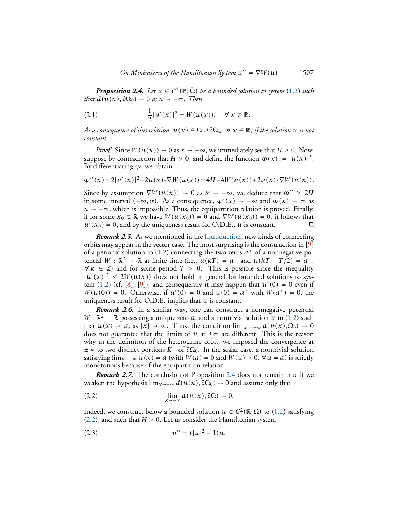<span id="page-4-1"></span>*Proposition 2.4. Let*  $u \in C^2(\mathbb{R}; \bar{\Omega})$  *be a bounded solution to system* [\(1.2\)](#page-1-0) *such that*  $d(\overline{u}(x), \partial \Omega_0) \rightarrow 0$  *as*  $x \rightarrow -\infty$ *. Then,* 

<span id="page-4-0"></span>(2.1) 
$$
\frac{1}{2}|u'(x)|^2 = W(u(x)), \quad \forall x \in \mathbb{R}.
$$

*As a consequence of this relation,*  $u(x) \in \Omega \cup \partial \Omega_{\neq}$ ,  $\forall x \in \mathbb{R}$ *, if the solution*  $u$  *is not constant.*

*Proof.* Since  $W(u(x)) \to 0$  as  $x \to -\infty$ , we immediately see that  $H \ge 0$ . Now, suppose by contradiction that  $H > 0$ , and define the function  $\varphi(x) := |u(x)|^2$ . By differentiating *<sup>ϕ</sup>*, we obtain

$$
\varphi''(x) = 2|u'(x)|^2 + 2u(x) \cdot \nabla W(u(x)) = 4H + 4W(u(x)) + 2u(x) \cdot \nabla W(u(x)).
$$

Since by assumption  $\nabla W(u(x))$  → 0 as  $x \to -\infty$ , we deduce that  $\varphi'' \ge 2H$ in some interval  $(-\infty, \alpha)$ . As a consequence,  $\varphi'(x) \to -\infty$  and  $\varphi(x) \to \infty$  as  $x \rightarrow -\infty$ , which is impossible. Thus, the equipartition relation is proved. Finally, if for some *x*<sup>0</sup> ∈ R we have *W (u(x*0*))* = 0 and ∇*W (u(x*0*))* = 0, it follows that  $u'(x_0) = 0$ , and by the uniqueness result for O.D.E., *u* is constant.

*Remark 2.5.* As we mentioned in the [Introduction,](#page-0-1) new kinds of connecting orbits may appear in the vector case. The most surprising is the construction in [\[9\]](#page-21-7) of a periodic solution to [\(1.2\)](#page-1-0) connecting the two zeros  $a^{\pm}$  of a nonnegative potential  $W : \mathbb{R}^2 \to \mathbb{R}$  at finite time (i.e.,  $u(kT) = a^+$  and  $u(kT + T/2) = a^-$ ,  $\forall k \in \mathbb{Z}$  and for some period  $T > 0$ . This is possible since the inequality  $|u'(x)|^2 \le 2W(u(x))$  does not hold in general for bounded solutions to sys-tem [\(1.2\)](#page-1-0) (cf. [\[8\]](#page-21-8), [\[9\]](#page-21-7)), and consequently it may happen that  $u'(0) \neq 0$  even if  $W(u(0)) = 0$ . Otherwise, if  $u'(0) = 0$  and  $u(0) = a^+$  with  $W(a^+) = 0$ , the uniqueness result for O.D.E. implies that *u* is constant.

*Remark 2.6.* In a similar way, one can construct a nonnegative potential  $W : \mathbb{R}^2 \to \mathbb{R}$  possessing a unique zero *a*, and a nontrivial solution *u* to [\(1.2\)](#page-1-0) such that  $u(x) \to a$ , as  $|x| \to \infty$ . Thus, the condition  $\lim_{|x| \to \infty} d(u(x), \Omega_0) \to 0$ does not guarantee that the limits of *u* at  $\pm \infty$  are different. This is the reason why in the definition of the heteroclinic orbit, we imposed the convergence at ±∞ to two distinct portions *K* <sup>±</sup> of *<sup>∂</sup>*Ω0. In the scalar case, a nontrivial solution satisfying  $\lim_{x\to-\infty} u(x) = a$  (with  $W(a) = 0$  and  $W(u) > 0$ ,  $\forall u \neq a$ ) is strictly monotonous because of the equipartition relation.

*Remark 2.7.* The conclusion of Proposition [2.4](#page-4-1) does not remain true if we weaken the hypothesis  $\lim_{x\to-\infty} d(u(x), \partial\Omega_0) \to 0$  and assume only that

<span id="page-4-2"></span>(2.2) 
$$
\lim_{x \to -\infty} d(u(x), \partial \Omega) \to 0.
$$

Indeed, we construct below a bounded solution *u* ∈  $C^2$  (ℝ; Ω) to [\(1.2\)](#page-1-0) satisfying  $(2.2)$ , and such that  $H > 0$ . Let us consider the Hamiltonian system

<span id="page-4-3"></span>(2.3) 
$$
u'' = (|u|^2 - 1)u,
$$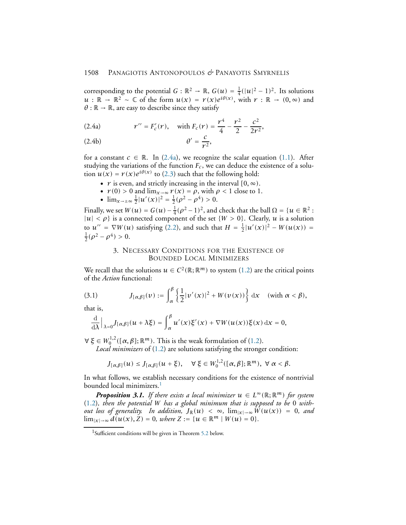corresponding to the potential  $G : \mathbb{R}^2 \to \mathbb{R}$ ,  $G(u) = \frac{1}{4}$  $\frac{1}{4}(|u|^2 - 1)^2$ . Its solutions *u* : ℝ → ℝ<sup>2</sup> ~ ℂ of the form  $u(x) = r(x)e^{i\theta(x)}$ , with  $r : \mathbb{R} \to (0, \infty)$  and  $\theta$  :  $\mathbb{R} \to \mathbb{R}$ , are easy to describe since they satisfy

<span id="page-5-2"></span>(2.4a) 
$$
r'' = F_c'(r), \text{ with } F_c(r) = \frac{r^4}{4} - \frac{r^2}{2} - \frac{c^2}{2r^2},
$$

$$
\theta' = \frac{c}{r^2},
$$

for a constant  $c \in \mathbb{R}$ . In [\(2.4a\)](#page-5-2), we recognize the scalar equation [\(1.1\)](#page-0-0). After studying the variations of the function *Fc*, we can deduce the existence of a solution  $u(x) = r(x)e^{i\theta(x)}$  to [\(2.3\)](#page-4-3) such that the following hold:

- $r$  is even, and strictly increasing in the interval  $[0, \infty)$ .
- $r(0) > 0$  and  $\lim_{x \to \infty} r(x) = \rho$ , with  $\rho < 1$  close to 1.
- $\lim_{x \to \pm \infty} \frac{1}{2}$  $\frac{1}{2}|u'(x)|^2 = \frac{1}{2}$  $\frac{1}{2}(\rho^2 - \rho^4) > 0.$

Finally, we set  $W(u) = G(u) - \frac{1}{4}$  $\frac{1}{4}(\rho^2-1)^2$ , and check that the ball  $\Omega = \{u \in \mathbb{R}^2 :$  $|u| < \rho$  is a connected component of the set  $\{W > 0\}$ . Clearly, *u* is a solution to  $u'' = \nabla W(u)$  satisfying [\(2.2\)](#page-4-2), and such that  $H = \frac{1}{2}$  $\frac{1}{2}|u'(x)|^2 - W(u(x)) =$ 1  $\frac{1}{2}(\rho^2 - \rho^4) > 0.$ 

## 3. NECESSARY CONDITIONS FOR THE EXISTENCE OF BOUNDED LOCAL MINIMIZERS

<span id="page-5-1"></span>We recall that the solutions  $u \in C^2(\mathbb{R}; \mathbb{R}^m)$  to system [\(1.2\)](#page-1-0) are the critical points of the *Action* functional:

<span id="page-5-0"></span>(3.1) 
$$
J_{\left[\alpha,\beta\right]}(\nu) := \int_{\alpha}^{\beta} \left\{ \frac{1}{2} |\nu'(x)|^2 + W(\nu(x)) \right\} dx \quad (\text{with } \alpha < \beta),
$$

that is,

$$
\frac{\mathrm{d}}{\mathrm{d}\lambda}\Big|_{\lambda=0}J_{[\alpha,\beta]}(u+\lambda\xi)=\int_{\alpha}^{\beta}u'(x)\xi'(x)+\nabla W(u(x))\xi(x)\,\mathrm{d}x=0,
$$

 $\forall \xi \in W_0^{1,2}([\alpha, \beta]; \mathbb{R}^m)$ . This is the weak formulation of [\(1.2\)](#page-1-0).

*Local minimizers* of [\(1.2\)](#page-1-0) are solutions satisfying the stronger condition:

$$
J_{[\alpha,\beta]}(u) \leq J_{[\alpha,\beta]}(u+\xi), \quad \forall \xi \in W_0^{1,2}([\alpha,\beta];\mathbb{R}^m), \ \forall \alpha < \beta.
$$

In what follows, we establish necessary conditions for the existence of nontrivial bounded local minimizers.<sup>[1](#page-5-3)</sup>

<span id="page-5-4"></span>*Proposition 3.1. If there exists a local minimizer*  $u \in L^{\infty}(\mathbb{R}; \mathbb{R}^m)$  for system [\(1.2\)](#page-1-0)*, then the potential W has a global minimum that is supposed to be* 0 *without loss of generality. In addition,*  $J_{\mathbb{R}}(u) < \infty$ ,  $\lim_{|x| \to \infty} W(u(x)) = 0$ , and  $\lim_{|x| \to \infty} d(u(x), Z) = 0$ *, where*  $Z := {u \in \mathbb{R}^m \mid W(u) = 0}.$ 

<span id="page-5-3"></span><sup>&</sup>lt;sup>1</sup>Sufficient conditions will be given in Theorem [5.2](#page-15-0) below.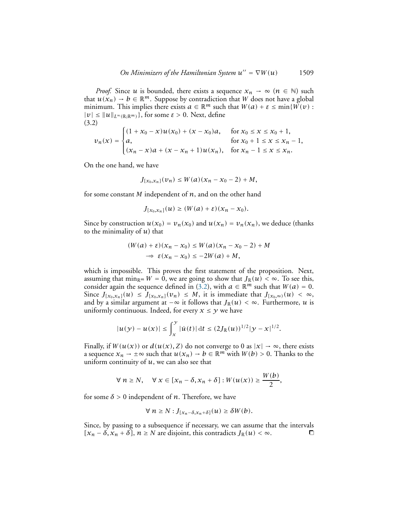*Proof.* Since *u* is bounded, there exists a sequence  $x_n \to \infty$  ( $n \in \mathbb{N}$ ) such that  $u(x_n) \to b \in \mathbb{R}^m$ . Suppose by contradiction that *W* does not have a global minimum. This implies there exists  $a \in \mathbb{R}^m$  such that  $W(a) + \varepsilon \le \min\{W(v):$  $|\nu| \leq ||u||_{L^{\infty}(\mathbb{R};\mathbb{R}^m)}$ , for some  $\varepsilon > 0$ . Next, define (3.2)

<span id="page-6-0"></span>
$$
\nu_n(x) = \begin{cases}\n(1 + x_0 - x)u(x_0) + (x - x_0)a, & \text{for } x_0 \le x \le x_0 + 1, \\
a, & \text{for } x_0 + 1 \le x \le x_n - 1, \\
(x_n - x)a + (x - x_n + 1)u(x_n), & \text{for } x_n - 1 \le x \le x_n.\n\end{cases}
$$

On the one hand, we have

$$
J_{[x_0,x_n]}(v_n) \leq W(a)(x_n-x_0-2)+M,
$$

for some constant *M* independent of *n*, and on the other hand

$$
J_{[x_0,x_n]}(u) \geq (W(a)+\varepsilon)(x_n-x_0).
$$

Since by construction  $u(x_0) = v_n(x_0)$  and  $u(x_n) = v_n(x_n)$ , we deduce (thanks to the minimality of *u*) that

$$
(W(a) + \varepsilon)(x_n - x_0) \le W(a)(x_n - x_0 - 2) + M
$$
  

$$
\Rightarrow \varepsilon(x_n - x_0) \le -2W(a) + M,
$$

which is impossible. This proves the first statement of the proposition. Next, assuming that min<sub>R</sub><sup>*m*</sup>  $W = 0$ , we are going to show that  $J_{\mathbb{R}}(u) < \infty$ . To see this, consider again the sequence defined in [\(3.2\)](#page-6-0), with  $a \in \mathbb{R}^m$  such that  $W(a) = 0$ . Since  $J_{[x_0,x_n]}(u) \leq J_{[x_0,x_n]}(v_n) \leq M$ , it is immediate that  $J_{[x_0,\infty)}(u) < \infty$ , and by a similar argument at  $-\infty$  it follows that  $J_{\mathbb{R}}(u) < \infty$ . Furthermore, *u* is uniformly continuous. Indeed, for every  $x \leq y$  we have

$$
|u(y)-u(x)| \leq \int_{x}^{y} |\dot{u}(t)| dt \leq (2J_{\mathbb{R}}(u))^{1/2} |y-x|^{1/2}.
$$

Finally, if  $W(u(x))$  or  $d(u(x), Z)$  do not converge to 0 as  $|x| \to \infty$ , there exists a sequence  $x_n \to \pm \infty$  such that  $u(x_n) \to b \in \mathbb{R}^m$  with  $W(b) > 0$ . Thanks to the uniform continuity of *u*, we can also see that

$$
\forall n \ge N, \quad \forall x \in [x_n - \delta, x_n + \delta] : W(u(x)) \ge \frac{W(b)}{2},
$$

for some  $\delta > 0$  independent of *n*. Therefore, we have

$$
\forall n \geq N : J_{[x_n - \delta, x_n + \delta]}(u) \geq \delta W(b).
$$

Since, by passing to a subsequence if necessary, we can assume that the intervals  $[x_n - \delta, x_n + \delta]$ ,  $n \ge N$  are disjoint, this contradicts  $J_R(u) < ∞$ . □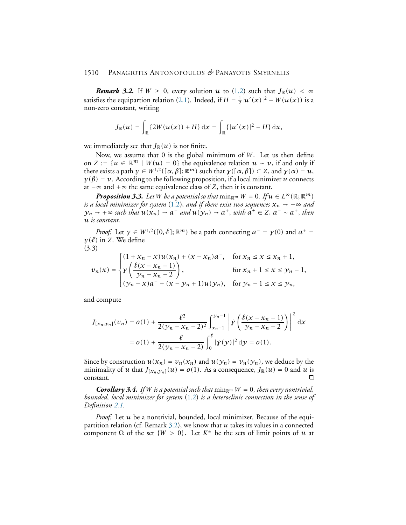<span id="page-7-0"></span>*Remark 3.2.* If  $W \ge 0$ , every solution *u* to [\(1.2\)](#page-1-0) such that  $J_{\mathbb{R}}(u) < \infty$ satisfies the equipartion relation [\(2.1\)](#page-4-0). Indeed, if  $H = \frac{1}{2}$  $\frac{1}{2}|u'(x)|^2 - W(u(x))$  is a non-zero constant, writing

$$
J_{\mathbb{R}}(u) = \int_{\mathbb{R}} \{2W(u(x)) + H\} dx = \int_{\mathbb{R}} \{|u'(x)|^2 - H\} dx,
$$

we immediately see that  $J_{\mathbb{R}}(u)$  is not finite.

Now, we assume that 0 is the global minimum of *W*. Let us then define on *Z* := { $u ∈ \mathbb{R}^m$  |  $W(u) = 0$ } the equivalence relation  $u ∼ v$ , if and only if there exists a path  $\gamma \in W^{1,2}([\alpha, \beta]; \mathbb{R}^m)$  such that  $\gamma([\alpha, \beta]) \subset Z$ , and  $\gamma(\alpha) = u$ ,  $\gamma(\beta) = v$ . According to the following proposition, if a local minimizer *u* connects at −∞ and +∞ the same equivalence class of *Z*, then it is constant.

<span id="page-7-1"></span>*Proposition 3.3. Let W be a potential so that*  $\min_{\mathbb{R}^m} W = 0$ *. If*  $u \in L^\infty(\mathbb{R}; \mathbb{R}^m)$ *is a local minimizer for system* [\(1.2\)](#page-1-0), and if there exist two sequences  $x_n \rightarrow -\infty$  and *y*<sub>*n*</sub> → +∞ *such that*  $u(x_n)$  →  $a^-$  *and*  $u(y_n)$  →  $a^+$ *, with*  $a^{\pm} \in Z$ *,*  $a^-$  ∼  $a^+$ *, then u is constant.*

*Proof.* Let  $\gamma \in W^{1,2}([0,\ell];\mathbb{R}^m)$  be a path connecting  $a^- = \gamma(0)$  and  $a^+ =$ *γ(ℓ)* in *Z*. We define (3.3)

<span id="page-7-2"></span>
$$
\nu_n(x) = \begin{cases}\n(1 + x_n - x)u(x_n) + (x - x_n)a^-, & \text{for } x_n \le x \le x_n + 1, \\
y\left(\frac{\ell(x - x_n - 1)}{y_n - x_n - 2}\right), & \text{for } x_n + 1 \le x \le y_n - 1, \\
(y_n - x)a^+ + (x - y_n + 1)u(y_n), & \text{for } y_n - 1 \le x \le y_n,\n\end{cases}
$$

and compute

$$
J_{[x_n,y_n]}(v_n) = o(1) + \frac{\ell^2}{2(y_n - x_n - 2)^2} \int_{x_n+1}^{y_n-1} \left| \dot{y} \left( \frac{\ell(x - x_n - 1)}{y_n - x_n - 2} \right) \right|^2 dx
$$
  
=  $o(1) + \frac{\ell}{2(y_n - x_n - 2)} \int_0^{\ell} |\dot{y}(y)|^2 dy = o(1).$ 

Since by construction  $u(x_n) = v_n(x_n)$  and  $u(y_n) = v_n(y_n)$ , we deduce by the minimality of *u* that  $J_{[x_n,y_n]}(u) = o(1)$ . As a consequence,  $J_{\mathbb{R}}(u) = 0$  and *u* is constant.  $\Box$ constant.

*Corollary 3.4.* If *W is a potential such that*  $\min_{\mathbb{R}^m} W = 0$ , *then every nontrivial*, *bounded, local minimizer for system* [\(1.2\)](#page-1-0) *is a heteroclinic connection in the sense of Definition [2.1.](#page-3-1)*

*Proof.* Let *u* be a nontrivial, bounded, local minimizer. Because of the equipartition relation (cf. Remark [3.2\)](#page-7-0), we know that *u* takes its values in a connected component Ω of the set  ${W > 0}$ . Let  $K^{\pm}$  be the sets of limit points of *u* at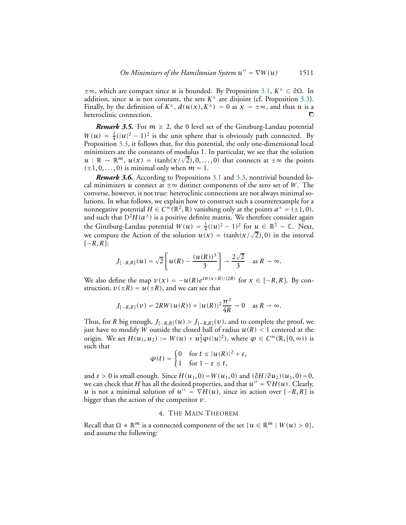±∞, which are compact since *<sup>u</sup>* is bounded. By Proposition [3.1,](#page-5-4) *<sup>K</sup>*<sup>±</sup> <sup>⊂</sup> *<sup>∂</sup>*Ω. In addition, since *u* is not constant, the sets  $K^{\pm}$  are disjoint (cf. Proposition [3.3\)](#page-7-1). Finally, by the definition of  $K^{\pm}$ ,  $d(u(x), K^{\pm}) \to 0$  as  $x \to \pm \infty$ , and thus *u* is a heteroclinic connection heteroclinic connection.

*Remark 3.5.* For  $m \geq 2$ , the 0 level set of the Ginzburg-Landau potential  $W(u) = \frac{1}{4}$  $\frac{1}{4}(|u|^2 - 1)^2$  is the unit sphere that is obviously path connected. By Proposition [3.3,](#page-7-1) it follows that, for this potential, the only one-dimensional local minimizers are the constants of modulus 1. In particular, we see that the solution  $u : \mathbb{R} \to \mathbb{R}^m$ ,  $u(x) = (\tanh(x/\sqrt{2}), 0, \ldots, 0)$  that connects at  $\pm \infty$  the points  $(\pm 1, 0, \ldots, 0)$  is minimal only when  $m = 1$ .

*Remark 3.6.* According to Propositions [3.1](#page-5-4) and [3.3,](#page-7-1) nontrivial bounded local minimizers *u* connect at  $\pm \infty$  distinct components of the zero set of *W*. The converse, however, is not true: heteroclinic connections are not always minimal solutions. In what follows, we explain how to construct such a counterexample for a nonnegative potential  $H \in C^{\infty}(\mathbb{R}^2, \mathbb{R})$  vanishing only at the points  $a^{\pm} = (\pm 1, 0)$ , and such that  $D^2H(a^{\pm})$  is a positive definite matrix. We therefore consider again the Ginzburg-Landau potential  $W(u) = \frac{1}{4}$  $\frac{1}{4}$ (|*u*|<sup>2</sup> − 1)<sup>2</sup> for  $\mu \in \mathbb{R}^2 \sim \mathbb{C}$ . Next, we compute the Action of the solution  $u(x) = (\tanh(x/\sqrt{2}), 0)$  in the interval *[*−*R, R]*:

$$
J_{[-R,R]}(u) = \sqrt{2}\left[u(R) - \frac{(u(R))^3}{3}\right] \to \frac{2\sqrt{2}}{3} \text{ as } R \to \infty.
$$

We also define the map  $v(x) = -u(R)e^{i\pi(x+R)/(2R)}$  for  $x \in [-R, R]$ . By construction,  $v(\pm R) = u(\pm R)$ , and we can see that

$$
J_{[-R,R]}(v) = 2RW(u(R)) + |u(R)|^2 \frac{\pi^2}{4R} \to 0 \quad \text{as } R \to \infty.
$$

Thus, for *R* big enough,  $J_{[-R,R]}(u) > J_{[-R,R]}(v)$ , and to complete the proof, we just have to modify W outside the closed ball of radius  $u(R) < 1$  centered at the origin. We set  $H(u_1, u_2) := W(u) + u_2^2 \varphi(|u|^2)$ , where  $\varphi \in C^{\infty}(\mathbb{R}, [0, \infty))$  is such that

$$
\varphi(t) = \begin{cases} 0 & \text{for } t \le |u(R)|^2 + \varepsilon, \\ 1 & \text{for } 1 - \varepsilon \le t, \end{cases}
$$

and  $\varepsilon > 0$  is small enough. Since  $H(u_1, 0) = W(u_1, 0)$  and  $(\partial H/\partial u_2)(u_1, 0) = 0$ , we can check that *H* has all the desired properties, and that  $u'' = \nabla H(u)$ . Clearly, *u* is not a minimal solution of  $u'' = \nabla H(u)$ , since its action over  $[-R, R]$  is bigger than the action of the competitor *v*.

## 4. THE MAIN THEOREM

<span id="page-8-0"></span>Recall that  $\Omega \neq \mathbb{R}^m$  is a connected component of the set  $\{u \in \mathbb{R}^m \mid W(u) > 0\}$ , and assume the following: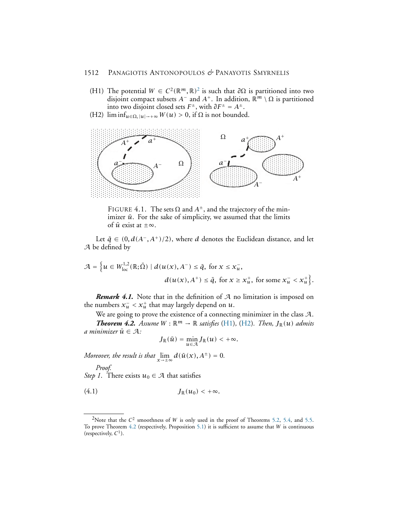- <span id="page-9-1"></span>(H1) The potential  $W \in C^2(\mathbb{R}^m, \mathbb{R})^2$  $W \in C^2(\mathbb{R}^m, \mathbb{R})^2$  $W \in C^2(\mathbb{R}^m, \mathbb{R})^2$  is such that  $\partial \Omega$  is partitioned into two disjoint compact subsets  $A^-$  and  $A^+$ . In addition,  $\mathbb{R}^m \setminus \Omega$  is partitioned into two disjoint closed sets *F* <sup>±</sup>, with *∂F*<sup>±</sup> = *A*±.
- <span id="page-9-2"></span>(H2)  $\liminf_{u \in \Omega_1}$ <sub>|*u*|→+∞</sub>  $W(u) > 0$ , if  $\Omega$  is not bounded.



FIGURE 4.1. The sets  $\Omega$  and  $A^{\pm}$ , and the trajectory of the minimizer  $\bar{u}$ . For the sake of simplicity, we assumed that the limits of  $\bar{u}$  exist at  $\pm \infty$ .

Let  $\bar{q}$  ∈ (0,  $d(A^-$ ,  $A^+$ )/2), where *d* denotes the Euclidean distance, and let A be defined by

$$
\mathcal{A} = \left\{ u \in W_{\text{loc}}^{1,2}(\mathbb{R}; \bar{\Omega}) \mid d(u(x), A^{-}) \leq \bar{q}, \text{ for } x \leq x_{u}^{-},
$$
  

$$
d(u(x), A^{+}) \leq \bar{q}, \text{ for } x \geq x_{u}^{+}, \text{ for some } x_{u}^{-} < x_{u}^{+} \right\}.
$$

*Remark 4.1.* Note that in the definition of A no limitation is imposed on the numbers  $x_u^- < x_u^+$  that may largely depend on  $u$ .

<span id="page-9-3"></span>We are going to prove the existence of a connecting minimizer in the class A. *Theorem 4.2. Assume*  $W : \mathbb{R}^m \to \mathbb{R}$  *satisfies* [\(H1\)](#page-9-1), [\(H2\)](#page-9-2)*. Then,*  $J_{\mathbb{R}}(u)$  *admits a* minimizer  $\bar{u} \in A$ :

<span id="page-9-4"></span>
$$
J_{\mathbb{R}}(\bar{u}) = \min_{u \in \mathcal{A}} J_{\mathbb{R}}(u) < +\infty.
$$

*Moreover, the result is that*  $\lim_{x \to \pm \infty} d(\bar{u}(x), A^{\pm}) = 0$ *.* 

*Proof. Step 1*. There exists  $u_0 \in A$  that satisfies

$$
(4.1) \t\t J_{\mathbb{R}}(u_0) < +\infty.
$$

<span id="page-9-0"></span><sup>&</sup>lt;sup>2</sup>Note that the *C*<sup>2</sup> smoothness of *W* is only used in the proof of Theorems [5.2,](#page-15-0) [5.4,](#page-16-0) and [5.5.](#page-17-0) To prove Theorem [4.2](#page-9-3) (respectively, Proposition [5.1\)](#page-14-1) it is sufficient to assume that *<sup>W</sup>* is continuous (respectively, *C* 1 ).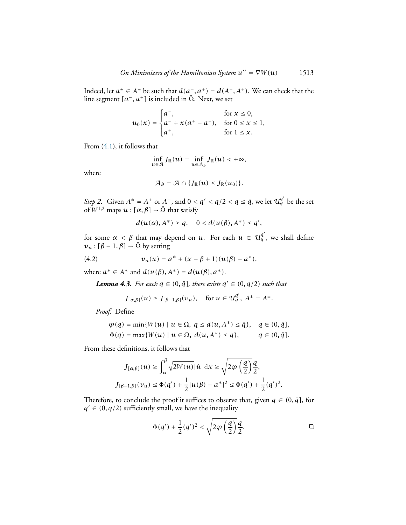Indeed, let  $a^{\pm} \in A^{\pm}$  be such that  $d(a^-, a^+) = d(A^-, A^+)$ . We can check that the line segment  $[a^-, a^+]$  is included in  $\overline{\Omega}$ . Next, we set

$$
u_0(x) = \begin{cases} a^-, & \text{for } x \le 0, \\ a^- + x(a^+ - a^-), & \text{for } 0 \le x \le 1, \\ a^+, & \text{for } 1 \le x. \end{cases}
$$

From [\(4.1\)](#page-9-4), it follows that

$$
\inf_{u\in\mathcal{A}}J_{\mathbb{R}}(u)=\inf_{u\in\mathcal{A}_b}J_{\mathbb{R}}(u)<+\infty,
$$

where

$$
\mathcal{A}_b = \mathcal{A} \cap \{J_{\mathbb{R}}(u) \leq J_{\mathbb{R}}(u_0)\}.
$$

*Step 2.* Given  $A^* = A^+$  or  $A^-$ , and  $0 < q' < q/2 < q \le \bar{q}$ , we let  $U_q^{q'}$  be the set of  $W^{1,2}$  maps  $u : [\alpha, \beta] \rightarrow \overline{\Omega}$  that satisfy

<span id="page-10-1"></span>
$$
d(u(\alpha), A^*) \geq q, \quad 0 < d(u(\beta), A^*) \leq q',
$$

for some  $\alpha < \beta$  that may depend on *u*. For each  $u \in U_q^{q'}$ , we shall define  $v_u : [\beta - 1, \beta] \rightarrow \overline{\Omega}$  by setting

(4.2) 
$$
v_u(x) = a^* + (x - \beta + 1)(u(\beta) - a^*),
$$

<span id="page-10-0"></span>where *a*<sup>\*</sup> ∈ *A*<sup>\*</sup> and *d*(*u*(*β*), *A*<sup>\*</sup>) = *d*(*u*(*β*), *a*<sup>\*</sup>).

*Lemma 4.3. For each*  $q \in (0, \bar{q}],$  *there exists*  $q' \in (0, q/2)$  *such that* 

$$
J_{[\alpha,\beta]}(u) \ge J_{[\beta-1,\beta]}(v_u)
$$
, for  $u \in \mathcal{U}_q^{q'}$ ,  $A^* = A^{\pm}$ .

*Proof.* Define

$$
\varphi(q) = \min\{W(u) \mid u \in \Omega, \ q \le d(u, A^*) \le \bar{q}\}, \ q \in (0, \bar{q}],
$$
  

$$
\Phi(q) = \max\{W(u) \mid u \in \Omega, \ d(u, A^*) \le q\}, \ q \in (0, \bar{q}].
$$

From these definitions, it follows that

$$
J_{[\alpha,\beta]}(u) \ge \int_{\alpha}^{\beta} \sqrt{2W(u)} |u| \,dx \ge \sqrt{2\varphi\left(\frac{q}{2}\right)} \frac{q}{2},
$$
  

$$
J_{[\beta-1,\beta]}(v_u) \le \Phi(q') + \frac{1}{2}|u(\beta) - a^*|^2 \le \Phi(q') + \frac{1}{2}(q')^2.
$$

Therefore, to conclude the proof it suffices to observe that, given  $q \in (0, \bar{q}]$ , for  $q' \in (0, q/2)$  sufficiently small, we have the inequality

$$
\Phi(q') + \frac{1}{2}(q')^2 < \sqrt{2\varphi\left(\frac{q}{2}\right)}\frac{q}{2}.\tag{}
$$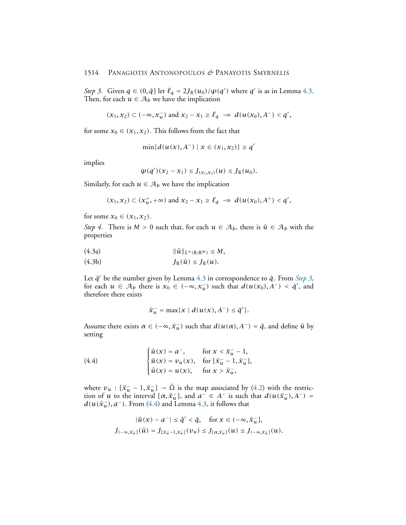*Step 3.* Given  $q \in (0, \bar{q}]$  let  $\ell_q = 2J_{\mathbb{R}}(u_0)/\varphi(q')$  where  $q'$  is as in Lemma [4.3.](#page-10-0) Then, for each  $u \in A_b$  we have the implication

$$
(x_1, x_2) \subset (-\infty, x_u^-)
$$
 and  $x_2 - x_1 \ge \ell_q \implies d(u(x_0), A^-) < q',$ 

for some  $x_0 \in (x_1, x_2)$ . This follows from the fact that

$$
\min\{d(u(x), A^{-}) \mid x \in (x_1, x_2)\} \geq q'
$$

implies

$$
\varphi(q')(x_2-x_1) \leq J_{(x_1,x_2)}(u) \leq J_{\mathbb{R}}(u_0).
$$

Similarly, for each  $u \in A_b$  we have the implication

$$
(x_1, x_2) \subset (x_u^+, +\infty)
$$
 and  $x_2 - x_1 \ge \ell_q \implies d(u(x_0), A^+) < q',$ 

for some  $x_0 \in (x_1, x_2)$ .

*Step 4*. There is  $M > 0$  such that, for each  $u \in A_b$ , there is  $\hat{u} \in A_b$  with the properties

<span id="page-11-2"></span>(4.3a) <sup>k</sup>*u*ˆ <sup>k</sup>*L*∞*(*R;R*m)* <sup>≤</sup> *M,*

<span id="page-11-1"></span>
$$
(4.3b) \t J_{\mathbb{R}}(\hat{u}) \leq J_{\mathbb{R}}(u).
$$

Let  $\bar{q}'$  be the number given by Lemma [4.3](#page-10-0) in correspondence to  $\bar{q}$ . From *[Step 3](#page-10-0)*, for each  $u \in A_b$  there is  $x_0 \in (-\infty, x_u^-)$  such that  $d(u(x_0), A^-) < \bar{q}'$ , and therefore there exists

<span id="page-11-0"></span>
$$
\bar{x}_u^- = \max\{x \mid d(u(x), A^-) \leq \bar{q}'\}.
$$

Assume there exists  $\alpha \in (-\infty, \bar{x}_u^-)$  such that  $d(u(\alpha), A^-) = \bar{q}$ , and define  $\hat{u}$  by setting

(4.4) 
$$
\begin{cases} \hat{u}(x) = a^{-}, & \text{for } x < \bar{x}_{u}^{-} - 1, \\ \hat{u}(x) = v_{u}(x), & \text{for } [\bar{x}_{u}^{-} - 1, \bar{x}_{u}^{-}], \\ \hat{u}(x) = u(x), & \text{for } x > \bar{x}_{u}^{-}, \end{cases}
$$

where  $v_u$  :  $[\bar{x}_u^- - 1, \bar{x}_u^-] \rightarrow \bar{\Omega}$  is the map associated by [\(4.2\)](#page-10-1) with the restriction of *u* to the interval  $[\alpha, \bar{x}_u]$ , and  $a^- \in A^-$  is such that  $d(u(\bar{x}_u), A^-) =$  $d(u(\bar{x}_u^-), a^-)$ . From [\(4.4\)](#page-11-0) and Lemma [4.3,](#page-10-0) it follows that

$$
|\hat{u}(x) - a^{-}| \leq \bar{q}' < \bar{q}, \quad \text{for } x \in (-\infty, \bar{x}_{\bar{u}}],
$$
  

$$
J_{(-\infty, \bar{x}_{\bar{u}}]}(\hat{u}) = J_{[\bar{x}_{\bar{u}}-1, \bar{x}_{\bar{u}}]}(v_{\bar{u}}) \leq J_{[\alpha, \bar{x}_{\bar{u}}]}(u) \leq J_{(-\infty, \bar{x}_{\bar{u}}]}(u).
$$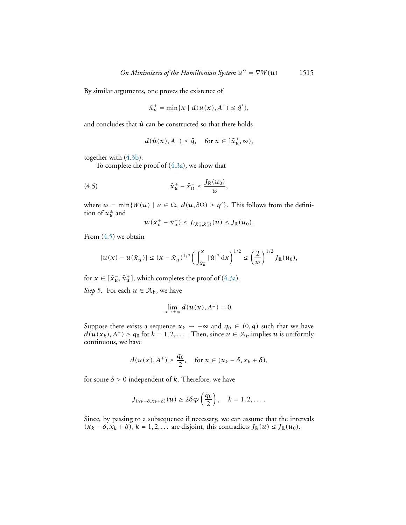By similar arguments, one proves the existence of

$$
\bar{x}_u^+ = \min\{x \mid d(u(x), A^+) \leq \bar{q}'\},\
$$

and concludes that  $\hat{u}$  can be constructed so that there holds

$$
d(\hat{u}(x), A^+) \leq \bar{q}, \quad \text{for } x \in [\bar{x}_u^+, \infty),
$$

together with [\(4.3b\)](#page-11-1).

To complete the proof of [\(4.3a\)](#page-11-2), we show that

(4.5) 
$$
\bar{x}_u^+ - \bar{x}_u^- \leq \frac{J_{\mathbb{R}}(u_0)}{w},
$$

where  $w = \min\{W(u) \mid u \in \Omega, d(u, \partial \Omega) \ge \bar{q}'\}$ . This follows from the definition of  $\bar{x}_u^\pm$  and

<span id="page-12-0"></span>
$$
w(\bar{x}_u^+ - \bar{x}_u^-) \leq J_{(\bar{x}_u^-, \bar{x}_u^+)}(u) \leq J_{\mathbb{R}}(u_0).
$$

From [\(4.5\)](#page-12-0) we obtain

$$
|u(x)-u(\bar{x}_u^-)|\leq (x-\bar{x}_u^-)^{1/2}\bigg(\int_{\bar{x}_u^-}^x|\dot{u}|^2\,\mathrm{d}x\bigg)^{1/2}\leq \bigg(\frac{2}{w}\bigg)^{1/2}J_\mathbb{R}(u_0),
$$

for  $x \in [\bar{x}_u^-, \bar{x}_u^+]$ , which completes the proof of [\(4.3a\)](#page-11-2).

*Step 5*. For each  $u \in A_b$ , we have

$$
\lim_{x\to\pm\infty}d(u(x),A^{\pm})=0.
$$

Suppose there exists a sequence  $x_k \rightarrow +\infty$  and  $q_0 \in (0, \bar{q})$  such that we have  $d(u(x_k), A^+) \geq q_0$  for  $k = 1, 2, \ldots$ . Then, since  $u \in A_b$  implies *u* is uniformly continuous, we have

$$
d(u(x), A^+) \ge \frac{q_0}{2}, \quad \text{for } x \in (x_k - \delta, x_k + \delta),
$$

for some  $\delta > 0$  independent of *k*. Therefore, we have

$$
J_{(x_k-\delta,x_k+\delta)}(u)\geq 2\delta\varphi\left(\frac{q_0}{2}\right),\quad k=1,2,\ldots.
$$

Since, by passing to a subsequence if necessary, we can assume that the intervals  $(x_k - \delta, x_k + \delta)$ ,  $k = 1, 2, \ldots$  are disjoint, this contradicts  $J_{\mathbb{R}}(u) \leq J_{\mathbb{R}}(u_0)$ .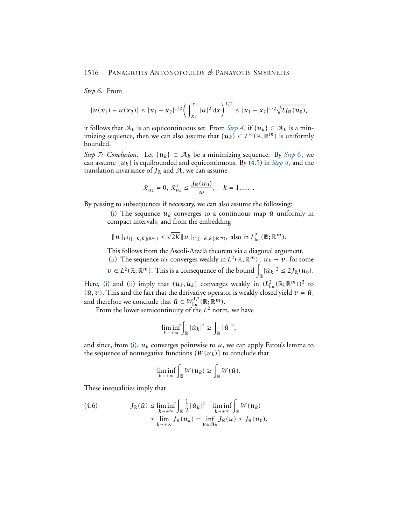*Step 6*. From

$$
|u(x_1)-u(x_2)|\leq |x_1-x_2|^{1/2}\bigg(\int_{x_1}^{x_2}|\dot{u}|^2\,\mathrm{d}x\bigg)^{1/2}\leq |x_1-x_2|^{1/2}\sqrt{2J_{\mathbb{R}}(u_0)},
$$

it follows that  $A_b$  is an equicontinuous set. From *[Step 4](#page-10-0)*, if  $\{u_k\} \subset A_b$  is a minimizing sequence, then we can also assume that  $\{u_k\} \subset L^\infty(\mathbb{R}, \mathbb{R}^m)$  is uniformly bounded.

*Step 7: Conclusion.* Let  $\{u_k\} \subset \mathcal{A}_b$  be a minimizing sequence. By *[Step 6](#page-12-0)*, we can assume  $\{u_k\}$  is equibounded and equicontinuous. By [\(4.5\)](#page-12-0) in *[Step 4](#page-10-0)*, and the translation invariance of  $J_{\mathbb{R}}$  and  $A$ , we can assume

$$
\bar{x}_{u_k}^-=0, \ \bar{x}_{u_k}^+\leq \frac{J_{\mathbb{R}}(u_0)}{w}, \quad k=1,\ldots.
$$

<span id="page-13-0"></span>By passing to subsequences if necessary, we can also assume the following:

(i) The sequence  $u_k$  converges to a continuous map  $\bar{u}$  uniformly in compact intervals, and from the embedding

$$
||u||_{L^2([-K,K];\mathbb{R}^m)} \leq \sqrt{2K}||u||_{C([-K,K];\mathbb{R}^m)}, \text{ also in } L^2_{loc}(\mathbb{R};\mathbb{R}^m).
$$

<span id="page-13-1"></span>This follows from the Ascoli-Arzelá theorem via a diagonal argument.

(ii) The sequence  $\dot{u}_k$  converges weakly in  $L^2(\mathbb{R}; \mathbb{R}^m) : \dot{u}_k \to v$ , for some

$$
v \in L^2(\mathbb{R}; \mathbb{R}^m)
$$
. This is a consequence of the bound  $\int_{\mathbb{R}} |\dot{u}_k|^2 \leq 2J_{\mathbb{R}}(u_0)$ .

Here, [\(i\)](#page-13-0) and [\(ii\)](#page-13-1) imply that  $(u_k, \dot{u}_k)$  converges weakly in  $(L_{\text{loc}}^2(\mathbb{R}; \mathbb{R}^m))^2$  to  $(\bar{u}, v)$ . This and the fact that the derivative operator is weakly closed yield  $v = \dot{\bar{u}}$ , and therefore we conclude that  $\bar{u} \in W^{1,2}_{loc}(\mathbb{R}; \mathbb{R}^m)$ .

From the lower semicontinuity of the *L* <sup>2</sup> norm, we have

$$
\liminf_{k \to +\infty} \int_{\mathbb{B}} |\dot{u}_k|^2 \ge \int_{\mathbb{B}} |\dot{\bar{u}}|^2,
$$

and since, from [\(i\)](#page-13-0),  $u_k$  converges pointwise to  $\bar{u}$ , we can apply Fatou's lemma to the sequence of nonnegative functions  $\{W(u_k)\}\$ to conclude that

$$
\liminf_{k \to +\infty} \int_{\mathbb{B}} W(u_k) \ge \int_{\mathbb{B}} W(\bar{u}).
$$

These inequalities imply that

<span id="page-13-2"></span>(4.6) 
$$
J_{\mathbb{R}}(\bar{u}) \leq \liminf_{k \to +\infty} \int_{\mathbb{B}} \frac{1}{2} |\dot{u}_k|^2 + \liminf_{k \to +\infty} \int_{\mathbb{B}} W(u_k)
$$

$$
\leq \lim_{k \to +\infty} J_{\mathbb{R}}(u_k) = \inf_{u \in A_b} J_{\mathbb{R}}(u) \leq J_{\mathbb{R}}(u_0).
$$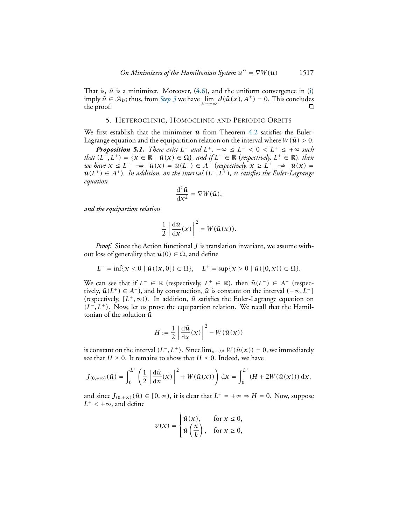That is,  $\bar{u}$  is a minimizer. Moreover,  $(4.6)$ , and the uniform convergence in [\(i\)](#page-13-0)  $\text{imply } \bar{u} \in \mathcal{A}_b$ ; thus, from *[Step 5](#page-12-0)* we have  $\lim_{x \to \pm \infty} d(\bar{u}(x), A^{\pm}) = 0$ . This concludes the proof.  $\Box$ 

### 5. HETEROCLINIC, HOMOCLINIC AND PERIODIC ORBITS

<span id="page-14-0"></span>We first establish that the minimizer  $\bar{u}$  from Theorem [4.2](#page-9-3) satisfies the Euler-Lagrange equation and the equipartition relation on the interval where  $W(\bar{u}) > 0$ .

<span id="page-14-1"></span>*Proposition 5.1. There exist*  $L^-$  *and*  $L^+$ ,  $-\infty \le L^- < 0 < L^+ \le +\infty$  such *that*  $(L^-, L^+) = \{x \in \mathbb{R} \mid \bar{u}(x) \in \Omega\}$ *, and if*  $L^- \in \mathbb{R}$  (*respectively,*  $L^+ \in \mathbb{R}$ *), then we have*  $x \leq L^- \Rightarrow \bar{u}(x) = \bar{u}(L^-) \in A^-$  (*respectively,*  $x \geq L^+ \Rightarrow \bar{u}(x) =$  $\bar{u}(L^+) \in A^+$ ). In addition, on the interval  $(L^-, L^+)$ ,  $\bar{u}$  satisfies the Euler-Lagrange *equation*

$$
\frac{\mathrm{d}^2\bar{u}}{\mathrm{d}x^2} = \nabla W(\bar{u}),
$$

*and the equipartion relation*

$$
\frac{1}{2}\left|\frac{\mathrm{d}\bar{u}}{\mathrm{d}x}(x)\right|^2 = W(\bar{u}(x)).
$$

*Proof.* Since the Action functional *J* is translation invariant, we assume without loss of generality that  $\bar{u}(0) \in \Omega$ , and define

$$
L^{-} = \inf \{ x < 0 \mid \bar{u}((x, 0]) \subset \Omega \}, \quad L^{+} = \sup \{ x > 0 \mid \bar{u}([0, x)) \subset \Omega \}.
$$

We can see that if  $L^- \in \mathbb{R}$  (respectively,  $L^+ \in \mathbb{R}$ ), then  $\bar{u}(L^-) \in A^-$  (respectively,  $\bar{u}(L^+) \in A^+$ ), and by construction,  $\bar{u}$  is constant on the interval  $(-\infty, L^-]$ (respectively,  $[L^+, \infty)$ ). In addition,  $\bar{u}$  satisfies the Euler-Lagrange equation on *(L*−*, L*+*)*. Now, let us prove the equipartion relation. We recall that the Hamiltonian of the solution  $\bar{u}$ 

$$
H:=\frac{1}{2}\left|\frac{\mathrm{d}\bar{u}}{\mathrm{d}x}(x)\right|^2-W(\bar{u}(x))
$$

is constant on the interval  $(L^-, L^+)$ . Since  $\lim_{x\to L^{\pm}} W(\bar{u}(x)) = 0$ , we immediately see that  $H \ge 0$ . It remains to show that  $H \le 0$ . Indeed, we have

$$
J_{(0,+\infty)}(\bar{u})=\int_0^{L^+}\left(\frac{1}{2}\left|\frac{\mathrm{d}\bar{u}}{\mathrm{d}x}(x)\right|^2+W(\bar{u}(x))\right)\mathrm{d}x=\int_0^{L^+}(H+2W(\bar{u}(x)))\,\mathrm{d}x,
$$

and since  $J_{(0,+\infty)}(\bar{u}) \in [0,\infty)$ , it is clear that  $L^+ = +\infty \Rightarrow H = 0$ . Now, suppose  $L^+ < +\infty$ , and define

$$
\nu(x) = \begin{cases} \bar{u}(x), & \text{for } x \le 0, \\ \bar{u}\left(\frac{x}{k}\right), & \text{for } x \ge 0, \end{cases}
$$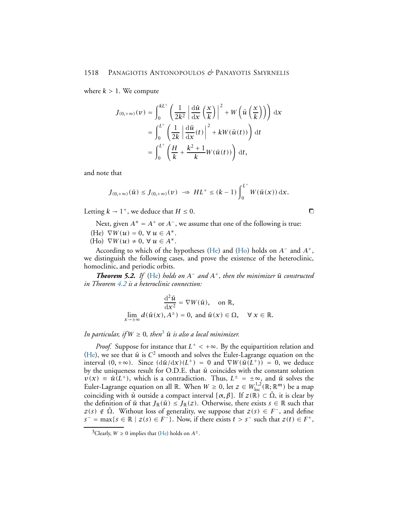where  $k > 1$ . We compute

$$
J_{(0,+\infty)}(\nu) = \int_0^{kL^+} \left(\frac{1}{2k^2} \left| \frac{d\bar{u}}{dx} \left(\frac{x}{k}\right) \right|^2 + W\left(\bar{u}\left(\frac{x}{k}\right)\right)\right) dx
$$
  

$$
= \int_0^{L^+} \left(\frac{1}{2k} \left| \frac{d\bar{u}}{dx}(t) \right|^2 + kW(\bar{u}(t))\right) dt
$$
  

$$
= \int_0^{L^+} \left(\frac{H}{k} + \frac{k^2 + 1}{k}W(\bar{u}(t))\right) dt,
$$

and note that

$$
J_{(0,+\infty)}(\bar{u}) \leq J_{(0,+\infty)}(\nu) \implies HL^+ \leq (k-1)\int_0^{L^+} W(\bar{u}(x))\,\mathrm{d}x.
$$

Letting  $k \to 1^+$ , we deduce that  $H \leq 0$ .

<span id="page-15-2"></span><span id="page-15-1"></span>Next, given  $A^* = A^+$  or  $A^-$ , we assume that one of the following is true:  $(He) \nabla W(u) = 0, \forall u \in A^*$ .  $(H<sub>o</sub>) \nabla W(u) \neq 0, \forall u \in A^*$ .

According to which of the hypotheses [\(He\)](#page-15-1) and [\(Ho\)](#page-15-2) holds on *A*<sup>−</sup> and *A*+, we distinguish the following cases, and prove the existence of the heteroclinic, homoclinic, and periodic orbits.

<span id="page-15-0"></span>*Theorem 5.2. If* [\(He\)](#page-15-1) *holds on*  $A^-$  *and*  $A^+$ *, then the minimizer*  $\bar{u}$  *constructed in Theorem [4.2](#page-9-3) is a heteroclinic connection:*

$$
\frac{d^2\bar{u}}{dx^2} = \nabla W(\bar{u}), \text{ on } \mathbb{R},
$$
  

$$
\lim_{x \to \pm \infty} d(\bar{u}(x), A^{\pm}) = 0, \text{ and } \bar{u}(x) \in \Omega, \quad \forall x \in \mathbb{R}.
$$

*In particular, if*  $W \geq 0$ *, then*<sup>[3](#page-15-3)</sup>  $\bar{u}$  *is also a local minimizer.* 

*Proof.* Suppose for instance that  $L^+$  < +∞. By the equipartition relation and [\(He\)](#page-15-1), we see that  $\bar{u}$  is  $C^2$  smooth and solves the Euler-Lagrange equation on the interval  $(0, +\infty)$ . Since  $(d\bar{u}/dx)(L^+) = 0$  and  $\nabla W(\bar{u}(L^+)) = 0$ , we deduce by the uniqueness result for O.D.E. that  $\bar{u}$  coincides with the constant solution  $v(x) = \bar{u}(L^+)$ , which is a contradiction. Thus,  $L^{\pm} = \pm \infty$ , and  $\bar{u}$  solves the Euler-Lagrange equation on all  $\mathbb{R}$ . When  $W \ge 0$ , let  $z \in W^{1,2}_{loc}(\mathbb{R}; \mathbb{R}^m)$  be a map coinciding with  $\bar{u}$  outside a compact interval  $[\alpha, \beta]$ . If  $z(\mathbb{R}) \subset \bar{\Omega}$ , it is clear by the definition of  $\bar{u}$  that  $J_{\mathbb{R}}(\bar{u}) \leq J_{\mathbb{R}}(z)$ . Otherwise, there exists  $s \in \mathbb{R}$  such that *z(s)* ∉  $\overline{\Omega}$ . Without loss of generality, we suppose that *z(s)* ∈ *F*<sup>−</sup>, and define  $s^-$  = max{ $s \in \mathbb{R} \mid z(s) \in F^-$ }. Now, if there exists  $t > s^-$  such that  $z(t) \in F^+$ ,

<span id="page-15-3"></span><sup>&</sup>lt;sup>3</sup>Clearly,  $W \ge 0$  implies that [\(He\)](#page-15-1) holds on  $A^{\pm}$ .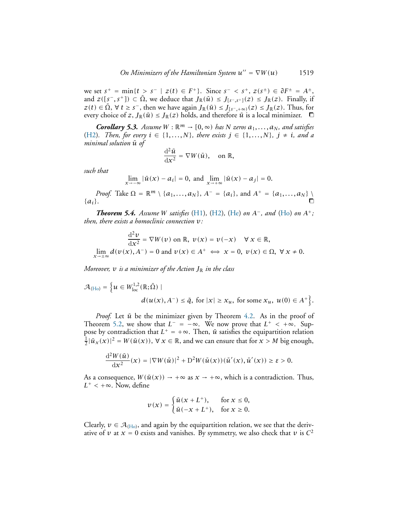we set  $s^+ = \min\{t > s^- \mid z(t) \in F^+\}$ . Since  $s^- < s^+$ ,  $z(s^{\pm}) \in \partial F^{\pm} = A^{\pm}$ , and  $z([s^-, s^+]) \subset \overline{\Omega}$ , we deduce that  $J_{\mathbb{R}}(\overline{u}) \leq J_{[s^-, s^+]}(z) \leq J_{\mathbb{R}}(z)$ . Finally, if *z*(*t*) ∈  $\overline{\Omega}$ ,  $\forall$  *t* ≥ *s*<sup>−</sup>, then we have again  $J_{\mathbb{R}}(\overline{u}) \le J_{[s^-, +\infty)}(z) \le J_{\mathbb{R}}(z)$ . Thus, for every choice of *z*,  $J_{\mathbb{R}}(\bar{u}) \leq J_{\mathbb{R}}(z)$  holds, and therefore  $\bar{u}$  is a local minimizer.  $\Box$ 

*Corollary 5.3. Assume*  $W : \mathbb{R}^m \to [0, \infty)$  *has*  $N$  *zeros*  $a_1, \ldots, a_N$ *, and satisfies* [\(H2\)](#page-9-2)*.* Then, for every  $i \in \{1, \ldots, N\}$ , there exists  $j \in \{1, \ldots, N\}$ ,  $j \neq i$ , and a *minimal solution*  $\bar{u}$  *of* 

$$
\frac{\mathrm{d}^2\bar{u}}{\mathrm{d}x^2} = \nabla W(\bar{u}), \quad \text{on } \mathbb{R},
$$

*such that*

 $\lim_{x \to -\infty} |\bar{u}(x) - a_i| = 0$ , and  $\lim_{x \to +\infty} |\bar{u}(x) - a_j| = 0$ .

*Proof.* Take  $\Omega = \mathbb{R}^m \setminus \{a_1, \ldots, a_N\}, A^- = \{a_i\}, \text{ and } A^+ = \{a_1, \ldots, a_N\} \setminus \{a_i\}.$  ${a_i}$ .  $\Box$ 

<span id="page-16-0"></span>*<i>Theorem 5.4. Assume W satisfies* [\(H1\)](#page-9-1), [\(H2\)](#page-9-2), [\(He\)](#page-15-1) *on*  $A^-$ *, and* (H0) *on*  $A^+$ *; then, there exists a homoclinic connection v:*

$$
\frac{d^2v}{dx^2} = \nabla W(v) \text{ on } \mathbb{R}, v(x) = v(-x) \quad \forall x \in \mathbb{R},
$$
  

$$
\lim_{x \to \pm \infty} d(v(x), A^-) = 0 \text{ and } v(x) \in A^+ \iff x = 0, v(x) \in \Omega, \forall x \neq 0.
$$

*Moreover,*  $v$  *is a minimizer of the Action*  $J_{\mathbb{R}}$  *in the class* 

$$
\mathcal{A}_{(\text{Ho})} = \left\{ u \in W_{\text{loc}}^{1,2}(\mathbb{R}; \bar{\Omega}) \mid
$$
  

$$
d(u(x), A^-) \leq \bar{q}, \text{ for } |x| \geq x_u, \text{ for some } x_u, u(0) \in A^+ \right\}.
$$

*Proof.* Let  $\bar{u}$  be the minimizer given by Theorem [4.2.](#page-9-3) As in the proof of Theorem [5.2,](#page-15-0) we show that  $L^- = -\infty$ . We now prove that  $L^+ < +\infty$ . Suppose by contradiction that  $L^+ = +\infty$ . Then,  $\bar{u}$  satisfies the equipartition relation 1  $\frac{1}{2}|\bar{u}_x(x)|^2 = W(\bar{u}(x)), \forall x \in \mathbb{R}$ , and we can ensure that for  $x > M$  big enough,

$$
\frac{\mathrm{d}^2W(\bar{u})}{\mathrm{d}x^2}(x) = |\nabla W(\bar{u})|^2 + \mathrm{D}^2W(\bar{u}(x))(\bar{u}'(x), \bar{u}'(x)) \geq \varepsilon > 0.
$$

As a consequence,  $W(\bar{u}(x)) \rightarrow +\infty$  as  $x \rightarrow +\infty$ , which is a contradiction. Thus,  $L^+ < +\infty$ . Now, define

$$
\nu(x) = \begin{cases} \bar{u}(x + L^+), & \text{for } x \le 0, \\ \bar{u}(-x + L^+), & \text{for } x \ge 0. \end{cases}
$$

Clearly,  $v \in A_{(Ho)}$  $v \in A_{(Ho)}$  $v \in A_{(Ho)}$ , and again by the equipartition relation, we see that the derivative of  $\nu$  at  $x = 0$  exists and vanishes. By symmetry, we also check that  $\nu$  is  $C^2$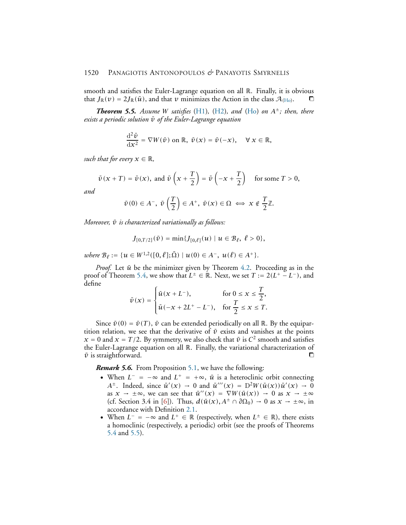smooth and satisfies the Euler-Lagrange equation on all R. Finally, it is obvious that  $J_{\mathbb{R}}(v) = 2J_{\mathbb{R}}(\bar{u})$ , and that *v* minimizes the Action in the class  $\mathcal{A}_{(H_0)}$ .  $\Box$ 

<span id="page-17-0"></span>*Theorem 5.5. Assume W satisfies* [\(H1\)](#page-9-1)*,* [\(H2\)](#page-9-2)*, and* [\(Ho\)](#page-15-2) *on A*±*; then, there exists a periodic solution*  $\bar{v}$  *of the Euler-Lagrange equation* 

$$
\frac{\mathrm{d}^2\bar{v}}{\mathrm{d}x^2} = \nabla W(\bar{v}) \text{ on } \mathbb{R}, \ \bar{v}(x) = \bar{v}(-x), \quad \forall x \in \mathbb{R},
$$

*such that for every*  $x \in \mathbb{R}$ *,* 

$$
\bar{v}(x+T) = \bar{v}(x)
$$
, and  $\bar{v}\left(x+\frac{T}{2}\right) = \bar{v}\left(-x+\frac{T}{2}\right)$  for some  $T > 0$ ,

*and*

$$
\bar{\nu}(0) \in A^{-}
$$
,  $\bar{\nu}\left(\frac{T}{2}\right) \in A^{+}$ ,  $\bar{\nu}(x) \in \Omega \iff x \notin \frac{T}{2}\mathbb{Z}$ .

*Moreover,*  $\bar{v}$  *is characterized variationally as follows:* 

$$
J_{[0,T/2]}(\bar{v}) = \min \{ J_{[0,\ell]}(u) \mid u \in \mathcal{B}_{\ell}, \ell > 0 \},\
$$

 $where B_{\ell} := \{u \in W^{1,2}([0,\ell];\bar{\Omega}) \mid u(0) \in A^{-}, u(\ell) \in A^{+}\}.$ 

*Proof.* Let  $\bar{u}$  be the minimizer given by Theorem [4.2.](#page-9-3) Proceeding as in the proof of Theorem [5.4,](#page-16-0) we show that  $L^{\pm} \in \mathbb{R}$ . Next, we set  $T := 2(L^+ - L^-)$ , and define

$$
\bar{\nu}(x) = \begin{cases} \bar{u}(x+L^-), & \text{for } 0 \le x \le \frac{T}{2}, \\ \bar{u}(-x+2L^+-L^-), & \text{for } \frac{T}{2} \le x \le T. \end{cases}
$$

Since  $\bar{v}(0) = \bar{v}(T)$ ,  $\bar{v}$  can be extended periodically on all R. By the equipartition relation, we see that the derivative of  $\bar{v}$  exists and vanishes at the points  $x = 0$  and  $x = T/2$ . By symmetry, we also check that  $\bar{v}$  is  $C^2$  smooth and satisfies the Euler-Lagrange equation on all R. Finally, the variational characterization of  $\bar{v}$  is straightforward.

#### *Remark 5.6.* From Proposition [5.1,](#page-14-1) we have the following:

- When  $L^- = -\infty$  and  $L^+ = +\infty$ ,  $\bar{u}$  is a heteroclinic orbit connecting *A*<sup>±</sup>. Indeed, since  $\bar{u}'(x) \rightarrow 0$  and  $\bar{u}'''(x) = D^2W(\bar{u}(x))\bar{u}'(x) \rightarrow 0$ as  $x \to \pm \infty$ , we can see that  $\bar{u}''(x) = \nabla W(\bar{u}(x)) \to 0$  as  $x \to \pm \infty$ (cf. Section 3.4 in [\[6\]](#page-21-9)). Thus,  $d(\bar{u}(x), A^{\pm} \cap \partial \Omega_0) \to 0$  as  $x \to \pm \infty$ , in accordance with Definition [2.1.](#page-3-1)
- When  $L^- = -\infty$  and  $L^+ \in \mathbb{R}$  (respectively, when  $L^{\pm} \in \mathbb{R}$ ), there exists a homoclinic (respectively, a periodic) orbit (see the proofs of Theorems [5.4](#page-16-0) and [5.5\)](#page-17-0).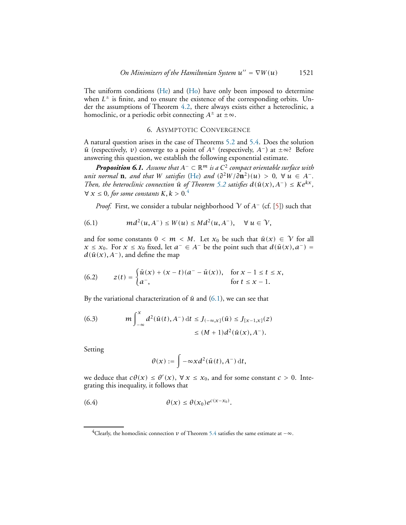The uniform conditions [\(He\)](#page-15-1) and [\(Ho\)](#page-15-2) have only been imposed to determine when *L* <sup>±</sup> is finite, and to ensure the existence of the corresponding orbits. Under the assumptions of Theorem [4.2,](#page-9-3) there always exists either a heteroclinic, a homoclinic, or a periodic orbit connecting  $A^{\pm}$  at  $\pm \infty$ .

## 6. ASYMPTOTIC CONVERGENCE

<span id="page-18-0"></span>A natural question arises in the case of Theorems [5.2](#page-15-0) and [5.4.](#page-16-0) Does the solution  $\bar{u}$  (respectively, *v*) converge to a point of  $A^{\pm}$  (respectively,  $A^{-}$ ) at  $\pm \infty$ ? Before answering this question, we establish the following exponential estimate.

<span id="page-18-4"></span>*Proposition 6.1. Assume that <sup>A</sup>*<sup>−</sup> <sup>⊂</sup> <sup>R</sup>*<sup>m</sup> is a <sup>C</sup>* 2 *compact orientable surface with unit normal* **n***, and that W satisfies* [\(He\)](#page-15-1) *and*  $(\partial^2 W / \partial \mathbf{n}^2)(u) > 0$ ,  $\forall u \in A^-$ . *Then, the heteroclinic connection*  $\bar{u}$  *of Theorem [5.2](#page-15-0) satisfies*  $d(\bar{u}(x), A^-) \leq Ke^{kx}$ *,*  $\forall x \leq 0$ , for some constants  $K, k > 0$ .<sup>[4](#page-18-1)</sup>

<span id="page-18-2"></span>*Proof.* First, we consider a tubular neighborhood  $\gamma$  of  $A^-$  (cf. [\[5\]](#page-21-10)) such that

$$
(6.1) \tmd{m}{d^2(u,A^-)} \leq W(u) \leq Md^2(u,A^-), \quad \forall \ u \in \mathcal{V},
$$

and for some constants  $0 < m < M$ . Let  $x_0$  be such that  $\bar{u}(x) \in \mathcal{V}$  for all *x* ≤ *x*<sub>0</sub>. For *x* ≤ *x*<sub>0</sub> fixed, let *a*<sup>−</sup> ∈ *A*<sup>−</sup> be the point such that  $d(\bar{u}(x), a^{-}) =$  $d(\bar{u}(x), A^-)$ , and define the map

<span id="page-18-5"></span>(6.2) 
$$
z(t) = \begin{cases} \bar{u}(x) + (x - t)(a^2 - \bar{u}(x)), & \text{for } x - 1 \le t \le x, \\ a^2, & \text{for } t \le x - 1. \end{cases}
$$

By the variational characterization of  $\bar{u}$  and [\(6.1\)](#page-18-2), we can see that

<span id="page-18-6"></span>(6.3) 
$$
m \int_{-\infty}^{x} d^{2}(\bar{u}(t), A^{-}) dt \leq J_{(-\infty, x]}(\bar{u}) \leq J_{[x-1,x]}(z) \leq (M+1) d^{2}(\bar{u}(x), A^{-}).
$$

Setting

<span id="page-18-3"></span>
$$
\theta(x) := \int -\infty x d^2(\bar{u}(t), A^-) dt,
$$

we deduce that  $c\theta(x) \leq \theta'(x)$ ,  $\forall x \leq x_0$ , and for some constant  $c > 0$ . Integrating this inequality, it follows that

$$
(6.4) \qquad \theta(x) \leq \theta(x_0) e^{c(x-x_0)}.
$$

<span id="page-18-1"></span><sup>&</sup>lt;sup>4</sup>Clearly, the homoclinic connection *v* of Theorem [5.4](#page-16-0) satisfies the same estimate at  $-\infty$ .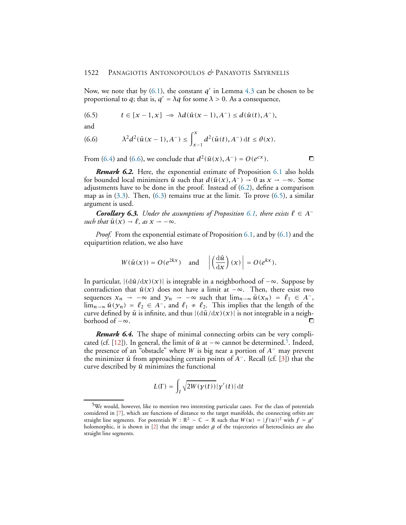Now, we note that by  $(6.1)$ , the constant  $q'$  in Lemma  $4.3$  can be chosen to be proportional to *q*; that is,  $q' = \lambda q$  for some  $\lambda > 0$ . As a consequence,

<span id="page-19-1"></span>
$$
(6.5) \t t \in [x-1,x] \Rightarrow \lambda d(\bar{u}(x-1),A^{-}) \leq d(\bar{u}(t),A^{-}),
$$

and

<span id="page-19-0"></span>(6.6) 
$$
\lambda^2 d^2(\bar{u}(x-1), A^-) \leq \int_{x-1}^x d^2(\bar{u}(t), A^-) dt \leq \theta(x).
$$

From [\(6.4\)](#page-18-3) and [\(6.6\)](#page-19-0), we conclude that  $d^2(\bar{u}(x), A^-) = O(e^{cx})$ . <del></del>**□** 

*Remark 6.2.* Here, the exponential estimate of Proposition [6.1](#page-18-4) also holds for bounded local minimizers  $\bar{u}$  such that  $d(\bar{u}(x), A^-) \to 0$  as  $x \to -\infty$ . Some adjustments have to be done in the proof. Instead of [\(6.2\)](#page-18-5), define a comparison map as in  $(3.3)$ . Then,  $(6.3)$  remains true at the limit. To prove  $(6.5)$ , a similar argument is used.

<span id="page-19-3"></span>*Corollary* 6.3. *Under the assumptions of Proposition* [6.1,](#page-18-4) *there exists*  $\ell \in A^$ *such that*  $\bar{u}(x) \rightarrow \ell$ *, as*  $x \rightarrow -\infty$ *.* 

*Proof.* From the exponential estimate of Proposition [6.1,](#page-18-4) and by [\(6.1\)](#page-18-2) and the equipartition relation, we also have

$$
W(\bar{u}(x)) = O(e^{2kx}) \quad \text{and} \quad \left| \left( \frac{\mathrm{d}\bar{u}}{\mathrm{d}x} \right)(x) \right| = O(e^{kx}).
$$

In particular,  $|(\mathrm{d}\bar{u}/\mathrm{d}x)(x)|$  is integrable in a neighborhood of  $-\infty$ . Suppose by contradiction that  $\bar{u}(x)$  does not have a limit at  $-\infty$ . Then, there exist two sequences  $x_n \to -\infty$  and  $y_n \to -\infty$  such that  $\lim_{n\to\infty} \bar{u}(x_n) = \ell_1 \in A^-$ ,  $\lim_{n\to\infty} \bar{u}(\gamma_n) = \ell_2 \in A^-$ , and  $\ell_1 \neq \ell_2$ . This implies that the length of the curve defined by  $\bar{u}$  is infinite, and thus  $|(\mathrm{d}\bar{u}/\mathrm{d}x)(x)|$  is not integrable in a neigh-<br>horbood of  $-\infty$ borhood of  $-\infty$ .

*Remark 6.4.* The shape of minimal connecting orbits can be very compli-cated (cf. [\[12\]](#page-21-2)). In general, the limit of  $\bar{u}$  at −∞ cannot be determined.<sup>[5](#page-19-2)</sup>. Indeed, the presence of an "obstacle" where *W* is big near a portion of *A*<sup>−</sup> may prevent the minimizer  $\bar{u}$  from approaching certain points of *A*<sup>−</sup>. Recall (cf. [\[3\]](#page-21-3)) that the curve described by  $\bar{u}$  minimizes the functional

$$
L(\Gamma)=\int_I\sqrt{2W(\gamma(t))}\vert\gamma'(t)\vert\,\mathrm{d}t
$$

<span id="page-19-2"></span><sup>5</sup>We would, however, like to mention two interesting particular cases. For the class of potentials considered in [\[7\]](#page-21-6), which are functions of distance to the target manifolds, the connecting orbits are straight line segments. For potentials  $W : \mathbb{R}^2 \sim \mathbb{C} \to \mathbb{R}$  such that  $W(u) = |f(u)|^2$  with  $f = g'$ holomorphic, it is shown in [\[2\]](#page-21-11) that the image under *g* of the trajectories of heteroclinics are also straight line segments.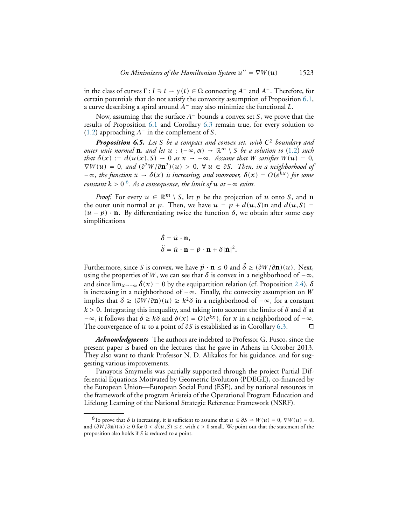in the class of curves  $\Gamma: I \ni t \to \gamma(t) \in \Omega$  connecting  $A^-$  and  $A^+$ . Therefore, for certain potentials that do not satisfy the convexity assumption of Proposition [6.1,](#page-18-4) a curve describing a spiral around *A*<sup>−</sup> may also minimize the functional *L*.

Now, assuming that the surface *A*<sup>−</sup> bounds a convex set *S*, we prove that the results of Proposition [6.1](#page-18-4) and Corollary [6.3](#page-19-3) remain true, for every solution to [\(1.2\)](#page-1-0) approaching *A*<sup>−</sup> in the complement of *S*.

*Proposition 6.5. Let S be a compact and convex set, with C* <sup>2</sup> *boundary and outer unit normal* **n***, and let*  $u : (-\infty, \alpha) \to \mathbb{R}^m \setminus S$  *be a solution to* [\(1.2\)](#page-1-0) *such that*  $\delta(x) := d(u(x), S) \to 0$  *as*  $x \to -\infty$ *. Assume that W satisfies*  $W(u) = 0$ *,*  $\nabla W(u) = 0$ , and  $(\partial^2 W/\partial \mathbf{n}^2)(u) > 0$ ,  $\forall u \in \partial S$ . Then, in a neighborhood of  $-∞$ *, the function*  $x → δ(x)$  *is increasing, and moreover,*  $δ(x) = O(e^{kx})$  *for some*  $constant$   $k > 0$   $^6$  $^6$ . As a consequence, the limit of  $u$  at  $-\infty$  exists.

*Proof.* For every  $u \in \mathbb{R}^m \setminus S$ , let p be the projection of u onto S, and **n** the outer unit normal at *p*. Then, we have  $u = p + d(u, S)$ **n** and  $d(u, S) =$  $(u - p) \cdot \mathbf{n}$ . By differentiating twice the function  $\delta$ , we obtain after some easy simplifications

$$
\dot{\delta} = \dot{u} \cdot \mathbf{n},
$$
  

$$
\ddot{\delta} = \ddot{u} \cdot \mathbf{n} - \ddot{p} \cdot \mathbf{n} + \delta |\dot{\mathbf{n}}|^2.
$$

Furthermore, since *S* is convex, we have  $\ddot{p} \cdot \mathbf{n} \leq 0$  and  $\ddot{\delta} \geq (\partial W/\partial \mathbf{n})(u)$ . Next, using the properties of *W*, we can see that  $\delta$  is convex in a neighborhood of  $-\infty$ , and since  $\lim_{x \to -\infty} \dot{\delta}(x) = 0$  by the equipartition relation (cf. Proposition [2.4\)](#page-4-1),  $\delta$ is increasing in a neighborhood of −∞. Finally, the convexity assumption on *W* implies that  $\ddot{\delta} \ge (\partial W / \partial \mathbf{n})(u) \ge k^2 \delta$  in a neighborhood of  $-\infty$ , for a constant  $k > 0$ . Integrating this inequality, and taking into account the limits of  $\delta$  and  $\dot{\delta}$  at  $-\infty$ , it follows that  $\dot{\delta} \ge k\delta$  and  $\delta(x) = O(e^{kx})$ , for *x* in a neighborhood of  $-\infty$ .<br>The convergence of *u* to a point of ∂*S* is established as in Corollary 6.3. The convergence of *u* to a point of  $\partial S$  is established as in Corollary [6.3.](#page-19-3)

*Acknowledgments* The authors are indebted to Professor G. Fusco, since the present paper is based on the lectures that he gave in Athens in October 2013. They also want to thank Professor N. D. Alikakos for his guidance, and for suggesting various improvements.

Panayotis Smyrnelis was partially supported through the project Partial Differential Equations Motivated by Geometric Evolution (PDEGE), co-financed by the European Union—European Social Fund (ESF), and by national resources in the framework of the program Aristeia of the Operational Program Education and Lifelong Learning of the National Strategic Reference Framework (NSRF).

<span id="page-20-0"></span><sup>&</sup>lt;sup>6</sup>To prove that  $\delta$  is increasing, it is sufficient to assume that  $u \in \partial S \Rightarrow W(u) = 0$ ,  $\nabla W(u) = 0$ , and  $(\partial W/\partial \mathbf{n})(u) \ge 0$  for  $0 < d(u, S) \le \varepsilon$ , with  $\varepsilon > 0$  small. We point out that the statement of the proposition also holds if *S* is reduced to a point.